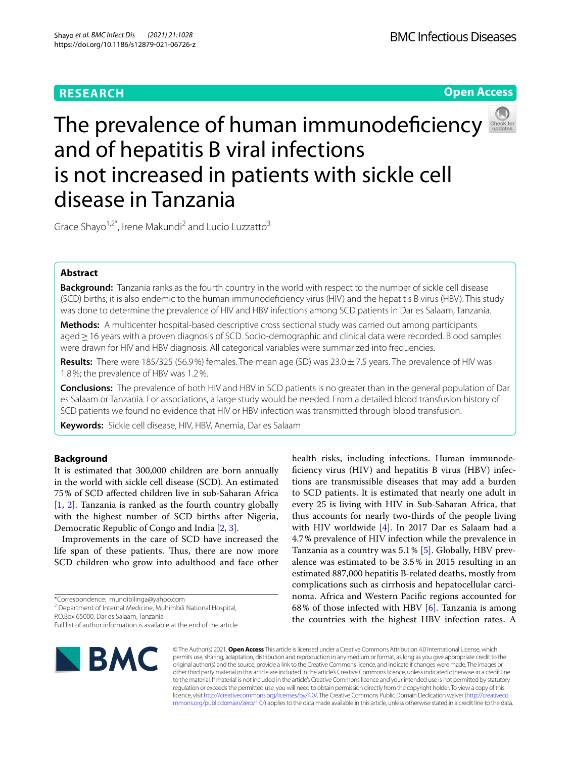# **RESEARCH**





# The prevalence of human immunodefciency and of hepatitis B viral infections is not increased in patients with sickle cell disease in Tanzania

Grace Shayo<sup>1,2\*</sup>, Irene Makundi<sup>2</sup> and Lucio Luzzatto<sup>3</sup>

# **Abstract**

**Background:** Tanzania ranks as the fourth country in the world with respect to the number of sickle cell disease (SCD) births; it is also endemic to the human immunodefciency virus (HIV) and the hepatitis B virus (HBV). This study was done to determine the prevalence of HIV and HBV infections among SCD patients in Dar es Salaam, Tanzania.

**Methods:** A multicenter hospital-based descriptive cross sectional study was carried out among participants aged≥16 years with a proven diagnosis of SCD. Socio-demographic and clinical data were recorded. Blood samples were drawn for HIV and HBV diagnosis. All categorical variables were summarized into frequencies.

**Results:** There were 185/325 (56.9%) females. The mean age (SD) was 23.0±7.5 years. The prevalence of HIV was 1.8%; the prevalence of HBV was 1.2%.

**Conclusions:** The prevalence of both HIV and HBV in SCD patients is no greater than in the general population of Dar es Salaam or Tanzania. For associations, a large study would be needed. From a detailed blood transfusion history of SCD patients we found no evidence that HIV or HBV infection was transmitted through blood transfusion.

**Keywords:** Sickle cell disease, HIV, HBV, Anemia, Dar es Salaam

# **Background**

It is estimated that 300,000 children are born annually in the world with sickle cell disease (SCD). An estimated 75% of SCD afected children live in sub-Saharan Africa [[1,](#page-4-0) [2](#page-4-1)]. Tanzania is ranked as the fourth country globally with the highest number of SCD births after Nigeria, Democratic Republic of Congo and India [\[2](#page-4-1), [3\]](#page-4-2).

Improvements in the care of SCD have increased the life span of these patients. Thus, there are now more SCD children who grow into adulthood and face other

P.O.Box 65000, Dar es Salaam, Tanzania

Full list of author information is available at the end of the article



© The Author(s) 2021. **Open Access** This article is licensed under a Creative Commons Attribution 4.0 International License, which permits use, sharing, adaptation, distribution and reproduction in any medium or format, as long as you give appropriate credit to the original author(s) and the source, provide a link to the Creative Commons licence, and indicate if changes were made. The images or other third party material in this article are included in the article's Creative Commons licence, unless indicated otherwise in a credit line to the material. If material is not included in the article's Creative Commons licence and your intended use is not permitted by statutory regulation or exceeds the permitted use, you will need to obtain permission directly from the copyright holder. To view a copy of this licence, visit [http://creativecommons.org/licenses/by/4.0/.](http://creativecommons.org/licenses/by/4.0/) The Creative Commons Public Domain Dedication waiver ([http://creativeco](http://creativecommons.org/publicdomain/zero/1.0/) [mmons.org/publicdomain/zero/1.0/](http://creativecommons.org/publicdomain/zero/1.0/)) applies to the data made available in this article, unless otherwise stated in a credit line to the data.

health risks, including infections. Human immunodefciency virus (HIV) and hepatitis B virus (HBV) infections are transmissible diseases that may add a burden to SCD patients. It is estimated that nearly one adult in every 25 is living with HIV in Sub-Saharan Africa, that thus accounts for nearly two-thirds of the people living with HIV worldwide [\[4\]](#page-4-3). In 2017 Dar es Salaam had a 4.7% prevalence of HIV infection while the prevalence in Tanzania as a country was 5.1% [[5\]](#page-4-4). Globally, HBV prevalence was estimated to be 3.5% in 2015 resulting in an estimated 887,000 hepatitis B-related deaths, mostly from complications such as cirrhosis and hepatocellular carcinoma. Africa and Western Pacifc regions accounted for 68% of those infected with HBV [[6\]](#page-4-5). Tanzania is among the countries with the highest HBV infection rates. A

<sup>\*</sup>Correspondence: mundibilinga@yahoo.com

<sup>&</sup>lt;sup>2</sup> Department of Internal Medicine, Muhimbili National Hospital,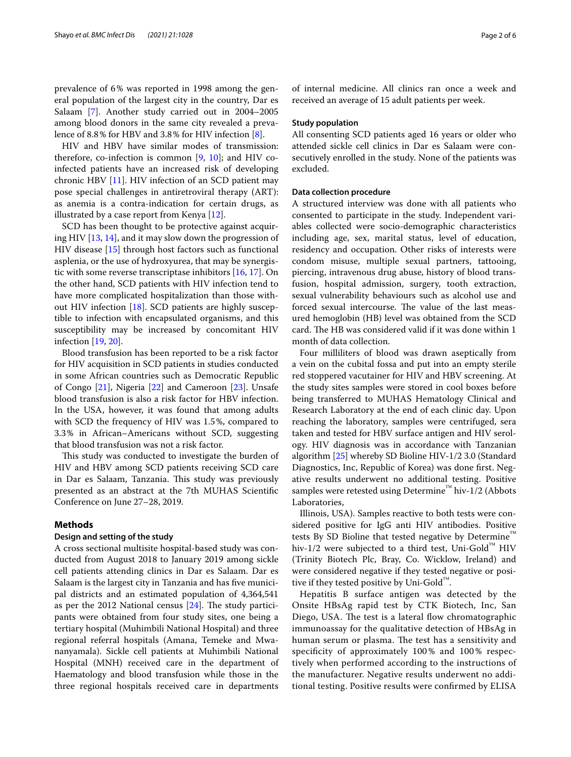prevalence of 6% was reported in 1998 among the general population of the largest city in the country, Dar es Salaam [[7\]](#page-4-6). Another study carried out in 2004–2005 among blood donors in the same city revealed a prevalence of 8.8% for HBV and 3.8% for HIV infection [[8\]](#page-4-7).

HIV and HBV have similar modes of transmission: therefore, co-infection is common  $[9, 10]$  $[9, 10]$  $[9, 10]$ ; and HIV coinfected patients have an increased risk of developing chronic HBV [\[11](#page-4-10)]. HIV infection of an SCD patient may pose special challenges in antiretroviral therapy (ART): as anemia is a contra-indication for certain drugs, as illustrated by a case report from Kenya [\[12](#page-4-11)].

SCD has been thought to be protective against acquiring HIV [[13,](#page-4-12) [14](#page-4-13)], and it may slow down the progression of HIV disease [[15\]](#page-4-14) through host factors such as functional asplenia, or the use of hydroxyurea, that may be synergistic with some reverse transcriptase inhibitors [[16,](#page-4-15) [17\]](#page-4-16). On the other hand, SCD patients with HIV infection tend to have more complicated hospitalization than those with-out HIV infection [\[18\]](#page-4-17). SCD patients are highly susceptible to infection with encapsulated organisms, and this susceptibility may be increased by concomitant HIV infection [[19,](#page-4-18) [20\]](#page-4-19).

Blood transfusion has been reported to be a risk factor for HIV acquisition in SCD patients in studies conducted in some African countries such as Democratic Republic of Congo [\[21](#page-4-20)], Nigeria [\[22\]](#page-4-21) and Cameroon [[23](#page-4-22)]. Unsafe blood transfusion is also a risk factor for HBV infection. In the USA, however, it was found that among adults with SCD the frequency of HIV was 1.5%, compared to 3.3% in African–Americans without SCD, suggesting that blood transfusion was not a risk factor.

This study was conducted to investigate the burden of HIV and HBV among SCD patients receiving SCD care in Dar es Salaam, Tanzania. This study was previously presented as an abstract at the 7th MUHAS Scientifc Conference on June 27–28, 2019.

# **Methods**

### **Design and setting of the study**

A cross sectional multisite hospital-based study was conducted from August 2018 to January 2019 among sickle cell patients attending clinics in Dar es Salaam. Dar es Salaam is the largest city in Tanzania and has fve municipal districts and an estimated population of 4,364,541 as per the 2012 National census  $[24]$  $[24]$ . The study participants were obtained from four study sites, one being a tertiary hospital (Muhimbili National Hospital) and three regional referral hospitals (Amana, Temeke and Mwananyamala). Sickle cell patients at Muhimbili National Hospital (MNH) received care in the department of Haematology and blood transfusion while those in the three regional hospitals received care in departments of internal medicine. All clinics ran once a week and received an average of 15 adult patients per week.

# **Study population**

All consenting SCD patients aged 16 years or older who attended sickle cell clinics in Dar es Salaam were consecutively enrolled in the study. None of the patients was excluded.

# **Data collection procedure**

A structured interview was done with all patients who consented to participate in the study. Independent variables collected were socio-demographic characteristics including age, sex, marital status, level of education, residency and occupation. Other risks of interests were condom misuse, multiple sexual partners, tattooing, piercing, intravenous drug abuse, history of blood transfusion, hospital admission, surgery, tooth extraction, sexual vulnerability behaviours such as alcohol use and forced sexual intercourse. The value of the last measured hemoglobin (HB) level was obtained from the SCD card. The HB was considered valid if it was done within 1 month of data collection.

Four milliliters of blood was drawn aseptically from a vein on the cubital fossa and put into an empty sterile red stoppered vacutainer for HIV and HBV screening. At the study sites samples were stored in cool boxes before being transferred to MUHAS Hematology Clinical and Research Laboratory at the end of each clinic day. Upon reaching the laboratory, samples were centrifuged, sera taken and tested for HBV surface antigen and HIV serology. HIV diagnosis was in accordance with Tanzanian algorithm [\[25](#page-4-24)] whereby SD Bioline HIV-1/2 3.0 (Standard Diagnostics, Inc, Republic of Korea) was done frst. Negative results underwent no additional testing. Positive samples were retested using Determine<sup>™</sup> hiv-1/2 (Abbots Laboratories,

Illinois, USA). Samples reactive to both tests were considered positive for IgG anti HIV antibodies. Positive tests By SD Bioline that tested negative by Determine™ hiv-1/2 were subjected to a third test, Uni-Gold<sup>™</sup> HIV (Trinity Biotech Plc, Bray, Co. Wicklow, Ireland) and were considered negative if they tested negative or positive if they tested positive by Uni-Gold™.

Hepatitis B surface antigen was detected by the Onsite HBsAg rapid test by CTK Biotech, Inc, San Diego, USA. The test is a lateral flow chromatographic immunoassay for the qualitative detection of HBsAg in human serum or plasma. The test has a sensitivity and specifcity of approximately 100% and 100% respectively when performed according to the instructions of the manufacturer. Negative results underwent no additional testing. Positive results were confrmed by ELISA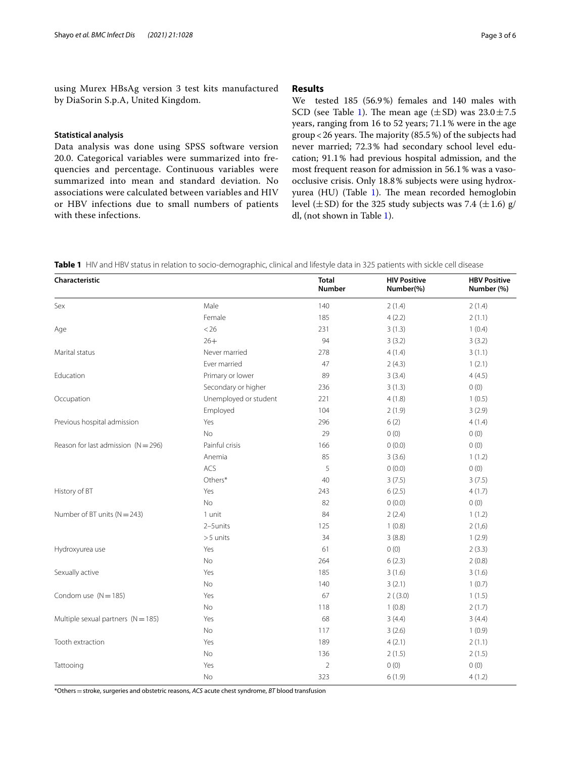using Murex HBsAg version 3 test kits manufactured by DiaSorin S.p.A, United Kingdom.

# **Statistical analysis**

Data analysis was done using SPSS software version 20.0. Categorical variables were summarized into frequencies and percentage. Continuous variables were summarized into mean and standard deviation. No associations were calculated between variables and HIV or HBV infections due to small numbers of patients with these infections.

# **Results**

We tested 185 (56.9%) females and 140 males with SCD (see Table [1\)](#page-2-0). The mean age  $(\pm SD)$  was  $23.0 \pm 7.5$ years, ranging from 16 to 52 years; 71.1% were in the age group < 26 years. The majority (85.5%) of the subjects had never married; 72.3% had secondary school level education; 91.1% had previous hospital admission, and the most frequent reason for admission in 56.1% was a vasoocclusive crisis. Only 18.8% subjects were using hydrox-yurea (HU) (Table [1](#page-2-0)). The mean recorded hemoglobin level  $(\pm SD)$  for the 325 study subjects was 7.4  $(\pm 1.6)$  g/ dl, (not shown in Table [1](#page-2-0)).

<span id="page-2-0"></span>**Table 1** HIV and HBV status in relation to socio-demographic, clinical and lifestyle data in 325 patients with sickle cell disease

| Characteristic                        |                       | <b>Total</b><br>Number | <b>HIV Positive</b><br>Number(%) | <b>HBV Positive</b><br>Number (%) |
|---------------------------------------|-----------------------|------------------------|----------------------------------|-----------------------------------|
| Sex                                   | Male                  | 140                    | 2(1.4)                           | 2(1.4)                            |
|                                       | Female                | 185                    | 4(2.2)                           | 2(1.1)                            |
| Age                                   | < 26                  | 231                    | 3(1.3)                           | 1(0.4)                            |
|                                       | $26+$                 | 94                     | 3(3.2)                           | 3(3.2)                            |
| Marital status                        | Never married         | 278                    | 4(1.4)                           | 3(1.1)                            |
|                                       | Fver married          | 47                     | 2(4.3)                           | 1(2.1)                            |
| Education                             | Primary or lower      | 89                     | 3(3.4)                           | 4(4.5)                            |
|                                       | Secondary or higher   | 236                    | 3(1.3)                           | 0(0)                              |
| Occupation                            | Unemployed or student | 221                    | 4(1.8)                           | 1(0.5)                            |
|                                       | Employed              | 104                    | 2(1.9)                           | 3(2.9)                            |
| Previous hospital admission           | Yes                   | 296                    | 6(2)                             | 4(1.4)                            |
|                                       | No                    | 29                     | 0(0)                             | 0(0)                              |
| Reason for last admission $(N = 296)$ | Painful crisis        | 166                    | 0(0.0)                           | 0(0)                              |
|                                       | Anemia                | 85                     | 3(3.6)                           | 1(1.2)                            |
|                                       | ACS                   | 5                      | 0(0.0)                           | 0(0)                              |
|                                       | Others*               | 40                     | 3(7.5)                           | 3(7.5)                            |
| History of BT                         | Yes                   | 243                    | 6(2.5)                           | 4(1.7)                            |
|                                       | <b>No</b>             | 82                     | 0(0.0)                           | 0(0)                              |
| Number of BT units $(N = 243)$        | 1 unit                | 84                     | 2(2.4)                           | 1(1.2)                            |
|                                       | 2-5units              | 125                    | 1(0.8)                           | 2(1,6)                            |
|                                       | $>5$ units            | 34                     | 3(8.8)                           | 1(2.9)                            |
| Hydroxyurea use                       | Yes                   | 61                     | 0(0)                             | 2(3.3)                            |
|                                       | No                    | 264                    | 6(2.3)                           | 2(0.8)                            |
| Sexually active                       | Yes                   | 185                    | 3(1.6)                           | 3(1.6)                            |
|                                       | No                    | 140                    | 3(2.1)                           | 1(0.7)                            |
| Condom use $(N = 185)$                | Yes                   | 67                     | 2(3.0)                           | 1(1.5)                            |
|                                       | No                    | 118                    | 1(0.8)                           | 2(1.7)                            |
| Multiple sexual partners $(N = 185)$  | Yes                   | 68                     | 3(4.4)                           | 3(4.4)                            |
|                                       | No                    | 117                    | 3(2.6)                           | 1(0.9)                            |
| Tooth extraction                      | Yes                   | 189                    | 4(2.1)                           | 2(1.1)                            |
|                                       | No                    | 136                    | 2(1.5)                           | 2(1.5)                            |
| Tattooing                             | Yes                   | $\overline{2}$         | 0(0)                             | 0(0)                              |
|                                       | No                    | 323                    | 6(1.9)                           | 4(1.2)                            |

\*Others=stroke, surgeries and obstetric reasons, *ACS* acute chest syndrome, *BT* blood transfusion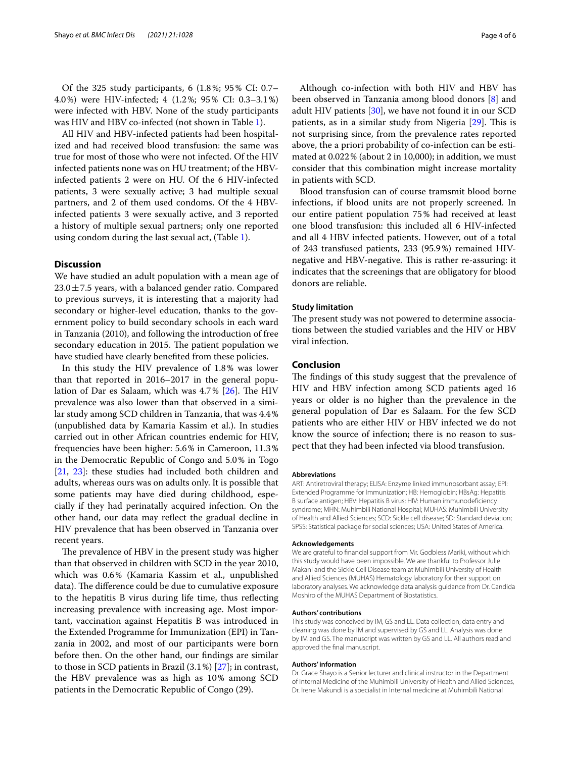Of the 325 study participants, 6 (1.8%; 95% CI: 0.7– 4.0%) were HIV-infected; 4 (1.2%; 95% CI: 0.3–3.1%) were infected with HBV. None of the study participants was HIV and HBV co-infected (not shown in Table [1](#page-2-0)).

All HIV and HBV-infected patients had been hospitalized and had received blood transfusion: the same was true for most of those who were not infected. Of the HIV infected patients none was on HU treatment; of the HBVinfected patients 2 were on HU. Of the 6 HIV-infected patients, 3 were sexually active; 3 had multiple sexual partners, and 2 of them used condoms. Of the 4 HBVinfected patients 3 were sexually active, and 3 reported a history of multiple sexual partners; only one reported using condom during the last sexual act, (Table [1\)](#page-2-0).

# **Discussion**

We have studied an adult population with a mean age of  $23.0 \pm 7.5$  years, with a balanced gender ratio. Compared to previous surveys, it is interesting that a majority had secondary or higher-level education, thanks to the government policy to build secondary schools in each ward in Tanzania (2010), and following the introduction of free secondary education in 2015. The patient population we have studied have clearly benefted from these policies.

In this study the HIV prevalence of 1.8% was lower than that reported in 2016–2017 in the general population of Dar es Salaam, which was  $4.7\%$  [\[26\]](#page-4-25). The HIV prevalence was also lower than that observed in a similar study among SCD children in Tanzania, that was 4.4% (unpublished data by Kamaria Kassim et al.). In studies carried out in other African countries endemic for HIV, frequencies have been higher: 5.6% in Cameroon, 11.3% in the Democratic Republic of Congo and 5.0% in Togo [[21,](#page-4-20) [23](#page-4-22)]: these studies had included both children and adults, whereas ours was on adults only. It is possible that some patients may have died during childhood, especially if they had perinatally acquired infection. On the other hand, our data may refect the gradual decline in HIV prevalence that has been observed in Tanzania over recent years.

The prevalence of HBV in the present study was higher than that observed in children with SCD in the year 2010, which was 0.6% (Kamaria Kassim et al., unpublished data). The difference could be due to cumulative exposure to the hepatitis B virus during life time, thus refecting increasing prevalence with increasing age. Most important, vaccination against Hepatitis B was introduced in the Extended Programme for Immunization (EPI) in Tanzania in 2002, and most of our participants were born before then. On the other hand, our fndings are similar to those in SCD patients in Brazil (3.1%) [[27\]](#page-4-26); in contrast, the HBV prevalence was as high as 10% among SCD patients in the Democratic Republic of Congo (29).

Although co-infection with both HIV and HBV has been observed in Tanzania among blood donors [\[8](#page-4-7)] and adult HIV patients [\[30\]](#page-5-0), we have not found it in our SCD patients, as in a similar study from Nigeria [\[29](#page-4-27)]. This is not surprising since, from the prevalence rates reported above, the a priori probability of co-infection can be estimated at 0.022% (about 2 in 10,000); in addition, we must consider that this combination might increase mortality in patients with SCD.

Blood transfusion can of course tramsmit blood borne infections, if blood units are not properly screened. In our entire patient population 75% had received at least one blood transfusion: this included all 6 HIV-infected and all 4 HBV infected patients. However, out of a total of 243 transfused patients, 233 (95.9%) remained HIVnegative and HBV-negative. This is rather re-assuring: it indicates that the screenings that are obligatory for blood donors are reliable.

#### **Study limitation**

The present study was not powered to determine associations between the studied variables and the HIV or HBV viral infection.

# **Conclusion**

The findings of this study suggest that the prevalence of HIV and HBV infection among SCD patients aged 16 years or older is no higher than the prevalence in the general population of Dar es Salaam. For the few SCD patients who are either HIV or HBV infected we do not know the source of infection; there is no reason to suspect that they had been infected via blood transfusion.

#### **Abbreviations**

ART: Antiretroviral therapy; ELISA: Enzyme linked immunosorbant assay; EPI: Extended Programme for Immunization; HB: Hemoglobin; HBsAg: Hepatitis B surface antigen; HBV: Hepatitis B virus; HIV: Human immunodefciency syndrome; MHN: Muhimbili National Hospital; MUHAS: Muhimbili University of Health and Allied Sciences; SCD: Sickle cell disease; SD: Standard deviation; SPSS: Statistical package for social sciences; USA: United States of America.

#### **Acknowledgements**

We are grateful to financial support from Mr. Godbless Mariki, without which this study would have been impossible. We are thankful to Professor Julie Makani and the Sickle Cell Disease team at Muhimbili University of Health and Allied Sciences (MUHAS) Hematology laboratory for their support on laboratory analyses. We acknowledge data analysis guidance from Dr. Candida Moshiro of the MUHAS Department of Biostatistics.

#### **Authors' contributions**

This study was conceived by IM, GS and LL. Data collection, data entry and cleaning was done by IM and supervised by GS and LL. Analysis was done by IM and GS. The manuscript was written by GS and LL. All authors read and approved the fnal manuscript.

#### **Authors' information**

Dr. Grace Shayo is a Senior lecturer and clinical instructor in the Department of Internal Medicine of the Muhimbili University of Health and Allied Sciences, Dr. Irene Makundi is a specialist in Internal medicine at Muhimbili National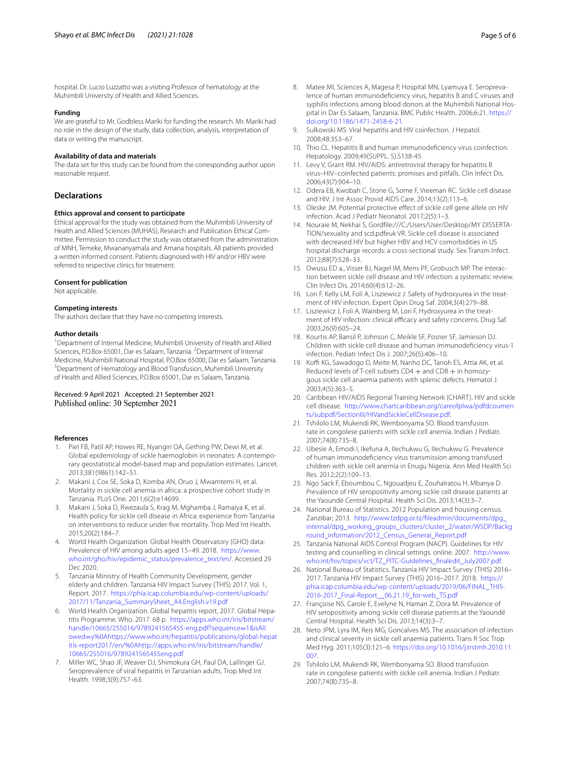hospital. Dr. Lucio Luzzatto was a visiting Professor of hematology at the Muhimbili University of Health and Allied Sciences.

#### **Funding**

We are grateful to Mr. Godbless Mariki for funding the research. Mr. Mariki had no role in the design of the study, data collection, analysis, interpretation of data or writing the manuscript.

#### **Availability of data and materials**

The data set for this study can be found from the corresponding author upon reasonable request.

#### **Declarations**

#### **Ethics approval and consent to participate**

Ethical approval for the study was obtained from the Muhimbili University of Health and Allied Sciences (MUHAS), Research and Publication Ethical Committee. Permission to conduct the study was obtained from the administration of MNH, Temeke, Mwananyamala and Amana hospitals. All patients provided a written informed consent. Patients diagnosed with HIV and/or HBV were referred to respective clinics for treatment.

#### **Consent for publication**

Not applicable.

#### **Competing interests**

The authors declare that they have no competing interests.

#### **Author details**

<sup>1</sup> Department of Internal Medicine, Muhimbili University of Health and Allied Sciences, P.O.Box 65001, Dar es Salaam, Tanzania. <sup>2</sup> Department of Internal Medicine, Muhimbili National Hospital, P.O.Box 65000, Dar es Salaam, Tanzania. 3 <sup>3</sup> Department of Hematology and Blood Transfusion, Muhimbili University of Health and Allied Sciences, P.O.Box 65001, Dar es Salaam, Tanzania.

# Received: 9 April 2021 Accepted: 21 September 2021 Published online: 30 September 2021

#### **References**

- <span id="page-4-0"></span>1. Piel FB, Patil AP, Howes RE, Nyangiri OA, Gething PW, Dewi M, et al. Global epidemiology of sickle haemoglobin in neonates: A contemporary geostatistical model-based map and population estimates. Lancet. 2013;381(9861):142–51.
- <span id="page-4-1"></span>2. Makani J, Cox SE, Soka D, Komba AN, Oruo J, Mwamtemi H, et al. Mortality in sickle cell anemia in africa: a prospective cohort study in Tanzania. PLoS One. 2011;6(2):e14699.
- <span id="page-4-2"></span>3. Makani J, Soka D, Rwezaula S, Krag M, Mghamba J, Ramaiya K, et al. Health policy for sickle cell disease in Africa: experience from Tanzania on interventions to reduce under-fve mortality. Trop Med Int Health. 2015;20(2):184–7.
- <span id="page-4-3"></span>4. World Health Organization. Global Health Observatory (GHO) data: Prevalence of HIV among adults aged 15–49. 2018. [https://www.](https://www.who.int/gho/hiv/epidemic_status/prevalence_text/en/) [who.int/gho/hiv/epidemic\\_status/prevalence\\_text/en/.](https://www.who.int/gho/hiv/epidemic_status/prevalence_text/en/) Accessed 29 Dec 2020.
- <span id="page-4-4"></span>5. Tanzania Ministry of Health Community Development, gender elderly and children. Tanzania HIV Impact Survey (THIS) 2017. Vol. 1, Report. 2017. [https://phia.icap.columbia.edu/wp-content/uploads/](https://phia.icap.columbia.edu/wp-content/uploads/2017/11/Tanzania_SummarySheet_A4.English.v19.pdf) [2017/11/Tanzania\\_SummarySheet\\_A4.English.v19.pdf](https://phia.icap.columbia.edu/wp-content/uploads/2017/11/Tanzania_SummarySheet_A4.English.v19.pdf)
- <span id="page-4-5"></span>6. World Health Organization. Global hepatitis report, 2017. Global Hepatitis Programme. Who. 2017. 68 p. [https://apps.who.int/iris/bitstream/](https://apps.who.int/iris/bitstream/handle/10665/255016/9789241565455-eng.pdf?sequence=1&isAllowed=y%0Ahttps://www.who.int/hepatitis/publications/global-hepatitis-report2017/en/%0Ahttp://apps.who.int/iris/bitstream/handle/10665/255016/9789241565455eng.pdf) [handle/10665/255016/9789241565455-eng.pdf?sequence](https://apps.who.int/iris/bitstream/handle/10665/255016/9789241565455-eng.pdf?sequence=1&isAllowed=y%0Ahttps://www.who.int/hepatitis/publications/global-hepatitis-report2017/en/%0Ahttp://apps.who.int/iris/bitstream/handle/10665/255016/9789241565455eng.pdf)=1&isAll owed=[y%0Ahttps://www.who.int/hepatitis/publications/global-hepat](https://apps.who.int/iris/bitstream/handle/10665/255016/9789241565455-eng.pdf?sequence=1&isAllowed=y%0Ahttps://www.who.int/hepatitis/publications/global-hepatitis-report2017/en/%0Ahttp://apps.who.int/iris/bitstream/handle/10665/255016/9789241565455eng.pdf) [itis-report2017/en/%0Ahttp://apps.who.int/iris/bitstream/handle/](https://apps.who.int/iris/bitstream/handle/10665/255016/9789241565455-eng.pdf?sequence=1&isAllowed=y%0Ahttps://www.who.int/hepatitis/publications/global-hepatitis-report2017/en/%0Ahttp://apps.who.int/iris/bitstream/handle/10665/255016/9789241565455eng.pdf) [10665/255016/9789241565455eng.pdf](https://apps.who.int/iris/bitstream/handle/10665/255016/9789241565455-eng.pdf?sequence=1&isAllowed=y%0Ahttps://www.who.int/hepatitis/publications/global-hepatitis-report2017/en/%0Ahttp://apps.who.int/iris/bitstream/handle/10665/255016/9789241565455eng.pdf)
- <span id="page-4-6"></span>7. Miller WC, Shao JF, Weaver DJ, Shimokura GH, Paul DA, Lallinger GJ. Seroprevalence of viral hepatitis in Tanzanian adults. Trop Med Int Health. 1998;3(9):757–63.
- <span id="page-4-7"></span>8. Matee MI, Sciences A, Magesa P, Hospital MN, Lyamuya E. Seroprevalence of human immunodefciency virus, hepatitis B and C viruses and syphilis infections among blood donors at the Muhimbili National Hospital in Dar Es Salaam, Tanzania. BMC Public Health. 2006;6:21. [https://](https://doi.org/10.1186/1471-2458-6-21) [doi.org/10.1186/1471-2458-6-21.](https://doi.org/10.1186/1471-2458-6-21)
- <span id="page-4-8"></span>9. Sulkowski MS. Viral hepatitis and HIV coinfection. J Hepatol. 2008;48:353–67.
- <span id="page-4-9"></span>10. Thio CL. Hepatitis B and human immunodefciency virus coinfection. Hepatology. 2009;49(SUPPL. 5).S138-45
- <span id="page-4-10"></span>11. Levy V, Grant RM. HIV/AIDS: antiretroviral therapy for hepatitis B virus–HIV–coinfected patients: promises and pitfalls. Clin Infect Dis. 2006;43(7):904–10.
- <span id="page-4-11"></span>12. Odera EB, Kwobah C, Stone G, Some F, Vreeman RC. Sickle cell disease and HIV. J Int Assoc Provid AIDS Care. 2014;13(2):113–6.
- <span id="page-4-12"></span>13. Oleske JM. Potential protective efect of sickle cell gene allele on HIV infection. Acad J Pediatr Neonatol. 2017;2(5):1–3.
- <span id="page-4-13"></span>14. Nouraie M, Nekhai S, Gordfle:///C:/Users/User/Desktop/MY DISSERTA-TION/sexuality and scd.pdfeuk VR. Sickle cell disease is associated with decreased HIV but higher HBV and HCV comorbidities in US hospital discharge records: a cross-sectional study. Sex Transm Infect. 2012;88(7):528–33.
- <span id="page-4-14"></span>15. Owusu ED a., Visser BJ, Nagel IM, Mens PF, Grobusch MP. The interaction between sickle cell disease and HIV infection: a systematic review. Clin Infect Dis. 2014;60(4):612–26.
- <span id="page-4-15"></span>16. Lori F, Kelly LM, Foli A, Lisziewicz J. Safety of hydroxyurea in the treatment of HIV infection. Expert Opin Drug Saf. 2004;3(4):279–88.
- <span id="page-4-16"></span>17. Lisziewicz J, Foli A, Wainberg M, Lori F. Hydroxyurea in the treatment of HIV infection: clinical efficacy and safety concerns. Drug Saf. 2003;26(9):605–24.
- <span id="page-4-17"></span>18. Kourtis AP, Bansil P, Johnson C, Meikle SF, Posner SF, Jamieson DJ. Children with sickle cell disease and human immunodefciency virus-1 infection. Pediatr Infect Dis J. 2007;26(5):406–10.
- <span id="page-4-18"></span>19. Koffi KG, Sawadogo D, Meite M, Nanho DC, Tanoh ES, Attia AK, et al. Reduced levels of T-cell subsets CD4  $+$  and CD8  $+$  in homozygous sickle cell anaemia patients with splenic defects. Hematol J. 2003;4(5):363–5.
- <span id="page-4-19"></span>20. Caribbean HIV/AIDS Regional Training Network (CHART). HIV and sickle cell disease. [http://www.chartcaribbean.org/careofplwa/pdfdcoumen](http://www.chartcaribbean.org/careofplwa/pdfdcouments/subpdf/SectionIII/HIVandSickleCellDisease.pdf) [ts/subpdf/SectionIII/HIVandSickleCellDisease.pdf](http://www.chartcaribbean.org/careofplwa/pdfdcouments/subpdf/SectionIII/HIVandSickleCellDisease.pdf).
- <span id="page-4-20"></span>21. Tshilolo LM, Mukendi RK, Wembonyama SO. Blood transfusion rate in congolese patients with sickle cell anemia. Indian J Pediatr. 2007;74(8):735–8.
- <span id="page-4-21"></span>22. Ubesie A, Emodi I, Ikefuna A, Ilechukwu G, Ilechukwu G. Prevalence of human immunodefciency virus transmission among transfused children with sickle cell anemia in Enugu Nigeria. Ann Med Health Sci Res. 2012;2(2):109–13.
- <span id="page-4-22"></span>23. Ngo Sack F, Eboumbou C, Ngouadjeu E, Zouhaïratou H, Mbanya D. Prevalence of HIV seropositivity among sickle cell disease patients at the Yaoundé Central Hospital. Health Sci Dis. 2013;14(3):3–7.
- <span id="page-4-23"></span>24. National Bureau of Statistics. 2012 Population and housing census. Zanzibar; 2013. [http://www.tzdpg.or.tz/fleadmin/documents/dpg\\_](http://www.tzdpg.or.tz/fileadmin/documents/dpg_internal/dpg_working_groups_clusters/cluster_2/water/WSDP/Background_information/2012_Census_General_Report.pdf) [internal/dpg\\_working\\_groups\\_clusters/cluster\\_2/water/WSDP/Backg](http://www.tzdpg.or.tz/fileadmin/documents/dpg_internal/dpg_working_groups_clusters/cluster_2/water/WSDP/Background_information/2012_Census_General_Report.pdf) [round\\_information/2012\\_Census\\_General\\_Report.pdf](http://www.tzdpg.or.tz/fileadmin/documents/dpg_internal/dpg_working_groups_clusters/cluster_2/water/WSDP/Background_information/2012_Census_General_Report.pdf)
- <span id="page-4-24"></span>25. Tanzania National AIDS Control Program (NACP). Guidelines for HIV testing and counselling in clinical settings. online. 2007. [http://www.](http://www.who.int/hiv/topics/vct/TZ_PITC-Guidelines_finaledit_July2007.pdf) [who.int/hiv/topics/vct/TZ\\_PITC-Guidelines\\_fnaledit\\_July2007.pdf.](http://www.who.int/hiv/topics/vct/TZ_PITC-Guidelines_finaledit_July2007.pdf)
- <span id="page-4-25"></span>26. National Bureau of Statistics. Tanzania HIV Impact Survey (THIS) 2016– 2017. Tanzania HIV Impact Survey (THIS) 2016–2017. 2018. [https://](https://phia.icap.columbia.edu/wp-content/uploads/2019/06/FINAL_THIS-2016-2017_Final-Report__06.21.19_for-web_TS.pdf) [phia.icap.columbia.edu/wp-content/uploads/2019/06/FINAL\\_THIS-](https://phia.icap.columbia.edu/wp-content/uploads/2019/06/FINAL_THIS-2016-2017_Final-Report__06.21.19_for-web_TS.pdf)[2016-2017\\_Final-Report\\_\\_06.21.19\\_for-web\\_TS.pdf](https://phia.icap.columbia.edu/wp-content/uploads/2019/06/FINAL_THIS-2016-2017_Final-Report__06.21.19_for-web_TS.pdf)
- <span id="page-4-26"></span>27. Françoise NS, Carole E, Evelyne N, Haman Z, Dora M. Prevalence of HIV seropositivity among sickle cell disease patients at the Yaoundé Central Hospital. Health Sci Dis. 2013;14(3):3–7.
- 28. Neto JPM, Lyra IM, Reis MG, Goncalves MS. The association of infection and clinical severity in sickle cell anaemia patients. Trans R Soc Trop Med Hyg. 2011;105(3):121–6. [https://doi.org/10.1016/j.trstmh.2010.11.](https://doi.org/10.1016/j.trstmh.2010.11.007) [007](https://doi.org/10.1016/j.trstmh.2010.11.007).
- <span id="page-4-27"></span>29. Tshilolo LM, Mukendi RK, Wembonyama SO. Blood transfusion rate in congolese patients with sickle cell anemia. Indian J Pediatr. 2007;74(8):735–8.